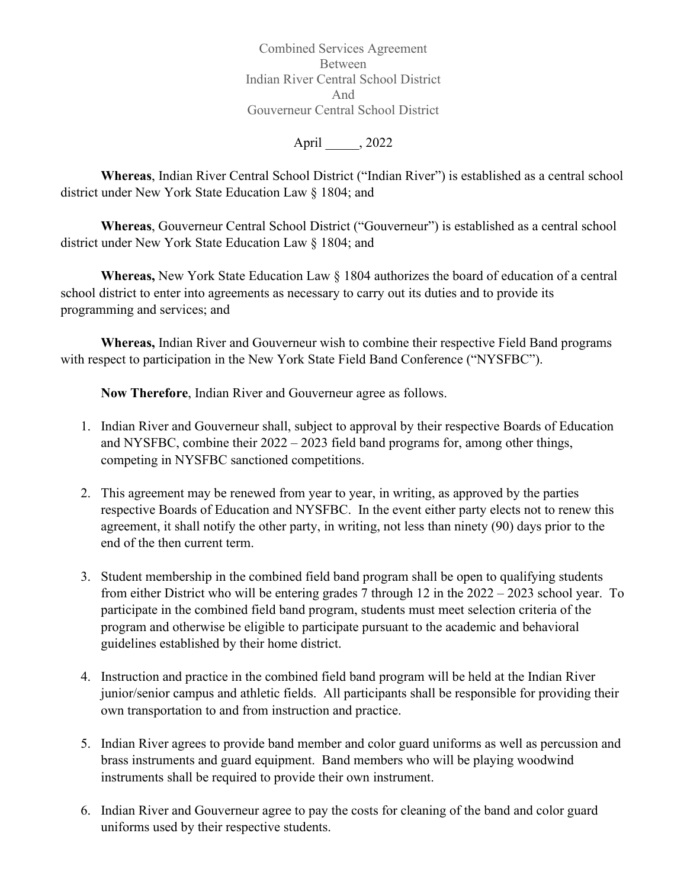Combined Services Agreement Between Indian River Central School District And Gouverneur Central School District

April  $\qquad$ , 2022

**Whereas**, Indian River Central School District ("Indian River") is established as a central school district under New York State Education Law § 1804; and

**Whereas**, Gouverneur Central School District ("Gouverneur") is established as a central school district under New York State Education Law § 1804; and

**Whereas,** New York State Education Law § 1804 authorizes the board of education of a central school district to enter into agreements as necessary to carry out its duties and to provide its programming and services; and

**Whereas,** Indian River and Gouverneur wish to combine their respective Field Band programs with respect to participation in the New York State Field Band Conference ("NYSFBC").

**Now Therefore**, Indian River and Gouverneur agree as follows.

- 1. Indian River and Gouverneur shall, subject to approval by their respective Boards of Education and NYSFBC, combine their 2022 – 2023 field band programs for, among other things, competing in NYSFBC sanctioned competitions.
- 2. This agreement may be renewed from year to year, in writing, as approved by the parties respective Boards of Education and NYSFBC. In the event either party elects not to renew this agreement, it shall notify the other party, in writing, not less than ninety (90) days prior to the end of the then current term.
- 3. Student membership in the combined field band program shall be open to qualifying students from either District who will be entering grades 7 through 12 in the 2022 – 2023 school year. To participate in the combined field band program, students must meet selection criteria of the program and otherwise be eligible to participate pursuant to the academic and behavioral guidelines established by their home district.
- 4. Instruction and practice in the combined field band program will be held at the Indian River junior/senior campus and athletic fields. All participants shall be responsible for providing their own transportation to and from instruction and practice.
- 5. Indian River agrees to provide band member and color guard uniforms as well as percussion and brass instruments and guard equipment. Band members who will be playing woodwind instruments shall be required to provide their own instrument.
- 6. Indian River and Gouverneur agree to pay the costs for cleaning of the band and color guard uniforms used by their respective students.